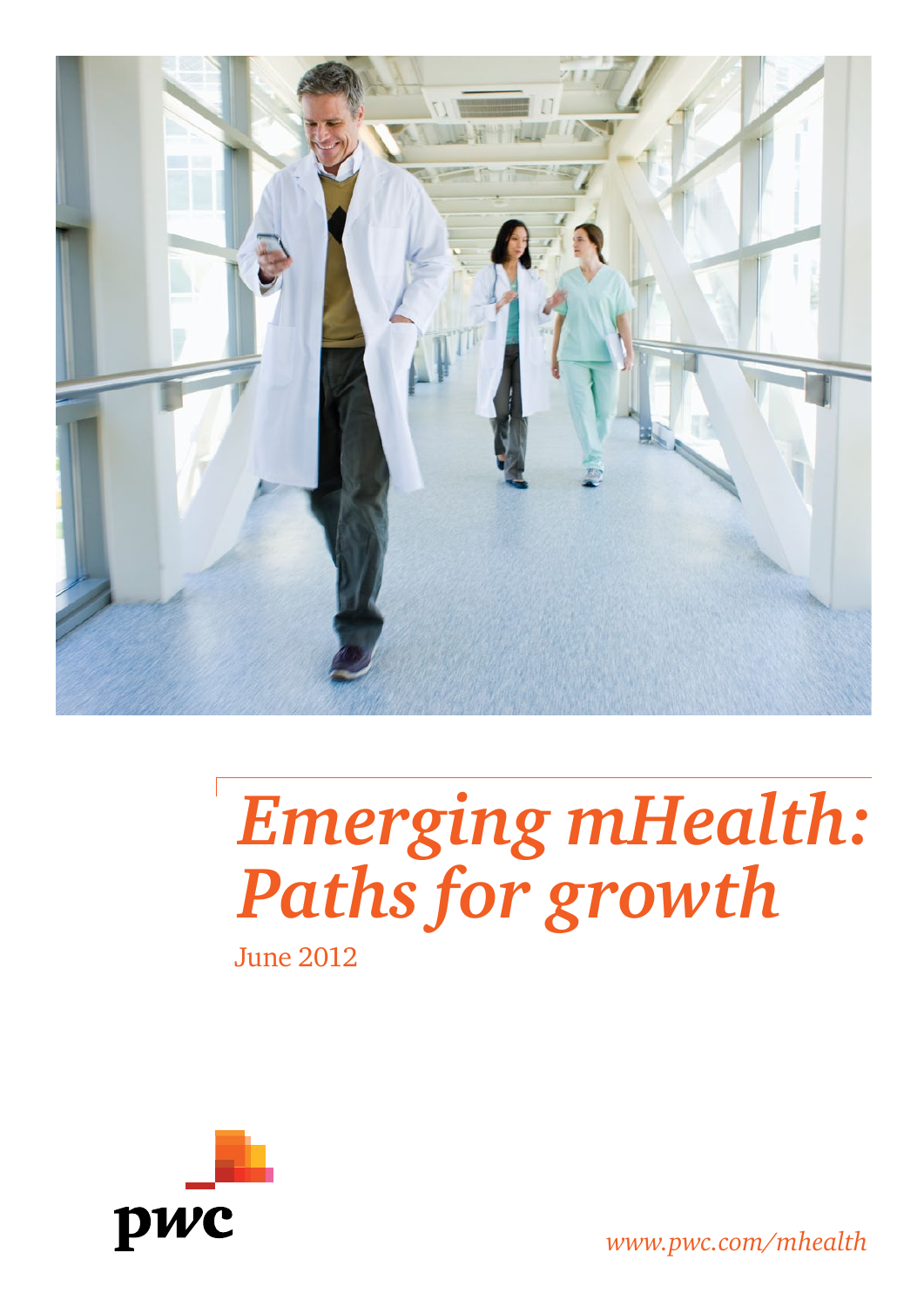

# *Emerging mHealth: Paths for growth*

June 2012



*www.pwc.com/mhealth*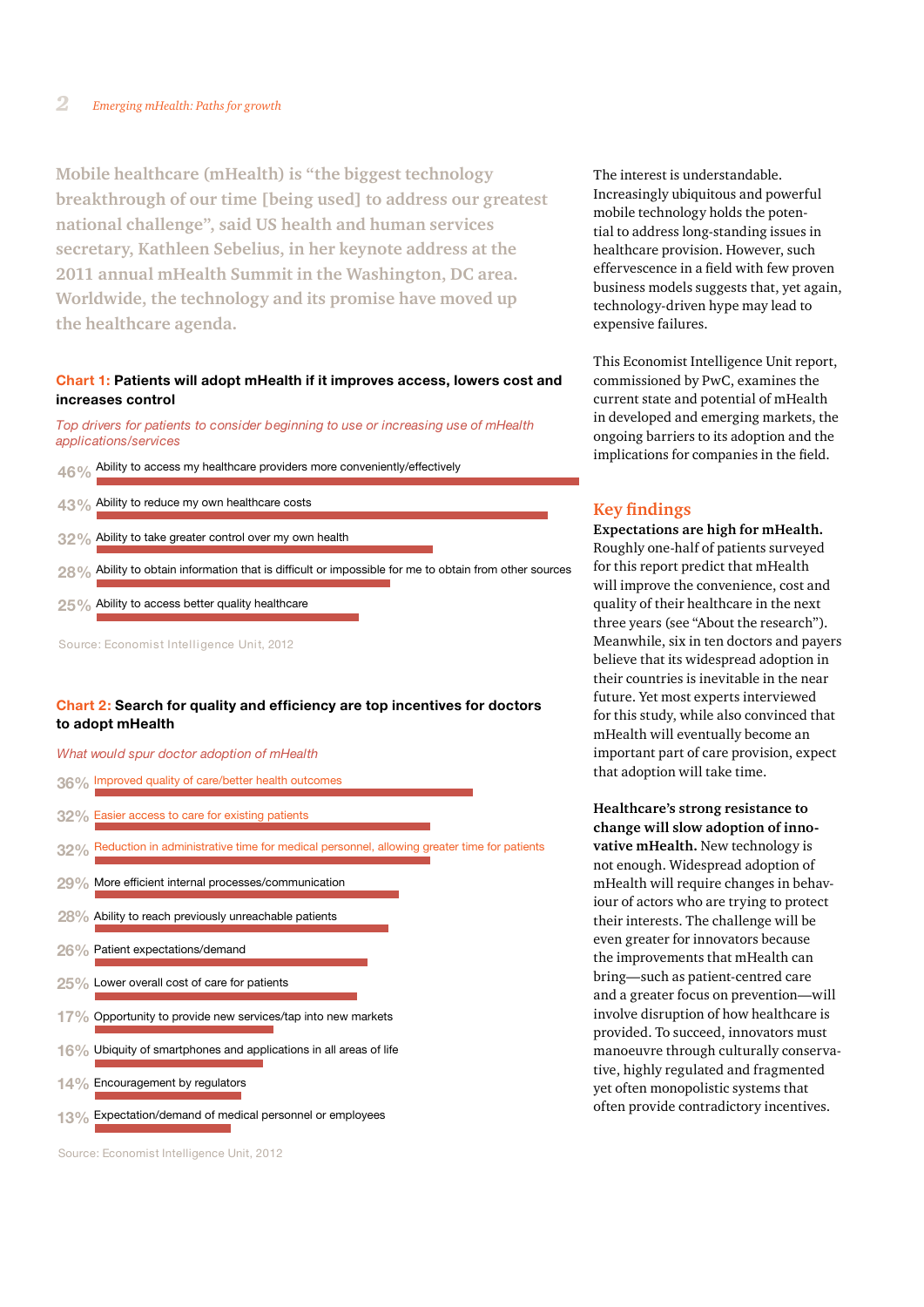**Mobile healthcare (mHealth) is "the biggest technology breakthrough of our time [being used] to address our greatest national challenge", said US health and human services secretary, Kathleen Sebelius, in her keynote address at the 2011 annual mHealth Summit in the Washington, DC area. Worldwide, the technology and its promise have moved up the healthcare agenda.**

# **Chart 1: Patients will adopt mHealth if it improves access, lowers cost and increases control**

*Top drivers for patients to consider beginning to use or increasing use of mHealth applications/services* 

- **46%** Ability to access my healthcare providers more conveniently/effectively
- **43%** Ability to reduce my own healthcare costs
- **32%** Ability to take greater control over my own health
- **28%** Ability to obtain information that is difficult or impossible for me to obtain from other sources
- **25%** Ability to access better quality healthcare

Source: Economist Intelligence Unit, 2012

# **Chart 2: Search for quality and efficiency are top incentives for doctors to adopt mHealth**

*What would spur doctor adoption of mHealth*

- **36%** Improved quality of care/better health outcomes
- **32%** Easier access to care for existing patients
- **32%** Reduction in administrative time for medical personnel, allowing greater time for patients
- **29%** More efficient internal processes/communication
- **28%** Ability to reach previously unreachable patients
- **26%** Patient expectations/demand
- **25%** Lower overall cost of care for patients
- **17%** Opportunity to provide new services/tap into new markets
- **16%** Ubiquity of smartphones and applications in all areas of life
- **14%** Encouragement by regulators
- **13%** Expectation/demand of medical personnel or employees

Source: Economist Intelligence Unit, 2012

The interest is understandable. Increasingly ubiquitous and powerful mobile technology holds the potential to address long-standing issues in healthcare provision. However, such effervescence in a field with few proven business models suggests that, yet again, technology-driven hype may lead to expensive failures.

This Economist Intelligence Unit report, commissioned by PwC, examines the current state and potential of mHealth in developed and emerging markets, the ongoing barriers to its adoption and the implications for companies in the field.

# **Key findings**

**Expectations are high for mHealth.**  Roughly one-half of patients surveyed for this report predict that mHealth will improve the convenience, cost and quality of their healthcare in the next three years (see "About the research"). Meanwhile, six in ten doctors and payers believe that its widespread adoption in their countries is inevitable in the near future. Yet most experts interviewed for this study, while also convinced that mHealth will eventually become an important part of care provision, expect that adoption will take time.

**Healthcare's strong resistance to change will slow adoption of innovative mHealth.** New technology is not enough. Widespread adoption of mHealth will require changes in behaviour of actors who are trying to protect their interests. The challenge will be even greater for innovators because the improvements that mHealth can bring—such as patient-centred care and a greater focus on prevention—will involve disruption of how healthcare is provided. To succeed, innovators must manoeuvre through culturally conservative, highly regulated and fragmented yet often monopolistic systems that often provide contradictory incentives.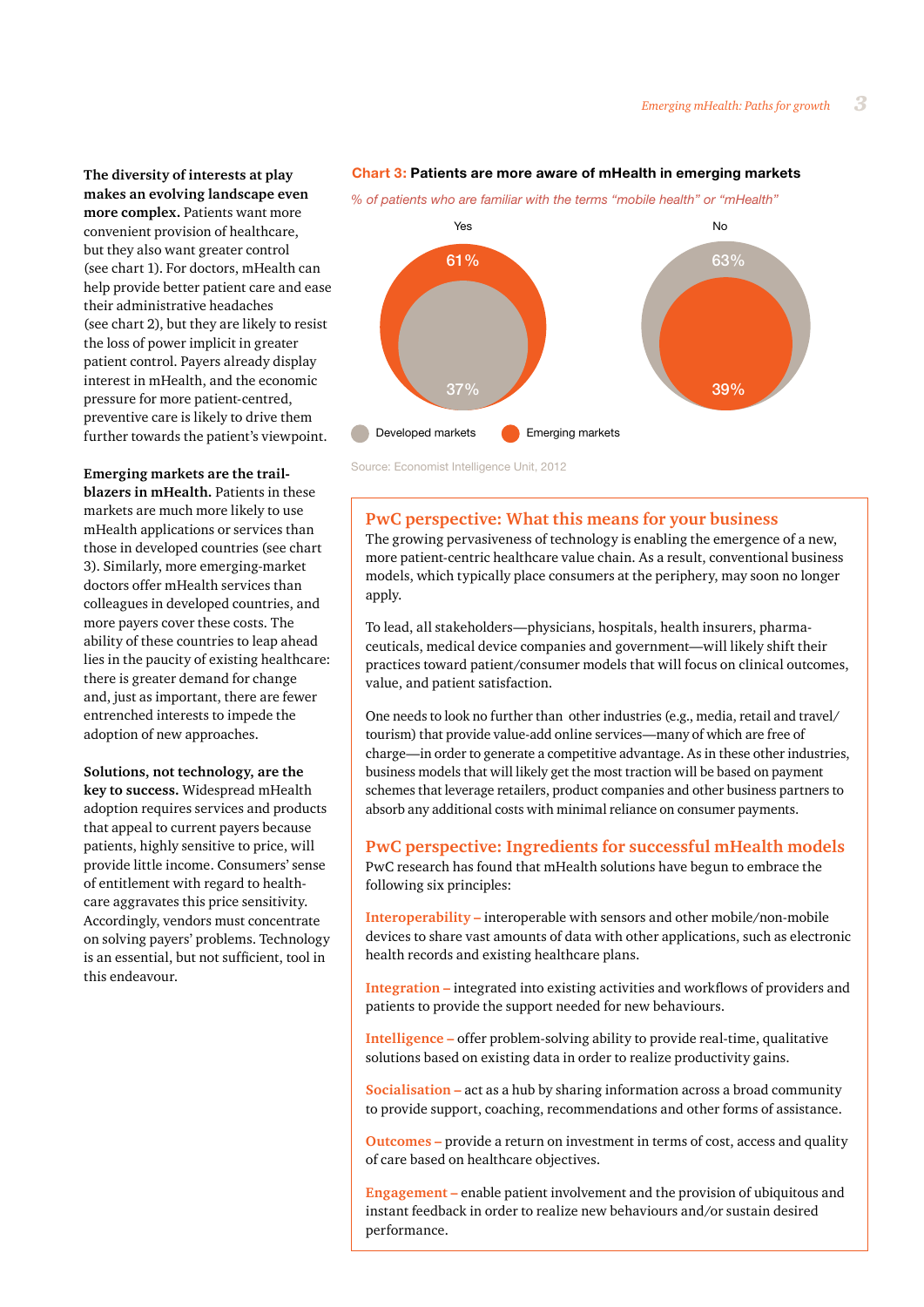**The diversity of interests at play makes an evolving landscape even more complex.** Patients want more convenient provision of healthcare, but they also want greater control (see chart 1). For doctors, mHealth can help provide better patient care and ease their administrative headaches (see chart 2), but they are likely to resist the loss of power implicit in greater patient control. Payers already display interest in mHealth, and the economic pressure for more patient-centred, preventive care is likely to drive them further towards the patient's viewpoint.

**Emerging markets are the trailblazers in mHealth.** Patients in these markets are much more likely to use mHealth applications or services than those in developed countries (see chart 3). Similarly, more emerging-market doctors offer mHealth services than colleagues in developed countries, and more payers cover these costs. The ability of these countries to leap ahead lies in the paucity of existing healthcare: there is greater demand for change and, just as important, there are fewer entrenched interests to impede the adoption of new approaches.

**Solutions, not technology, are the key to success.** Widespread mHealth adoption requires services and products that appeal to current payers because patients, highly sensitive to price, will provide little income. Consumers' sense of entitlement with regard to healthcare aggravates this price sensitivity. Accordingly, vendors must concentrate on solving payers' problems. Technology is an essential, but not sufficient, tool in this endeavour.

#### **Chart 3: Patients are more aware of mHealth in emerging markets**

*% of patients who are familiar with the terms "mobile health" or "mHealth"*



Source: Economist Intelligence Unit, 2012

## **PwC perspective: What this means for your business**

The growing pervasiveness of technology is enabling the emergence of a new, more patient-centric healthcare value chain. As a result, conventional business models, which typically place consumers at the periphery, may soon no longer apply.

To lead, all stakeholders—physicians, hospitals, health insurers, pharmaceuticals, medical device companies and government—will likely shift their practices toward patient/consumer models that will focus on clinical outcomes, value, and patient satisfaction.

One needs to look no further than other industries (e.g., media, retail and travel/ tourism) that provide value-add online services—many of which are free of charge—in order to generate a competitive advantage. As in these other industries, business models that will likely get the most traction will be based on payment schemes that leverage retailers, product companies and other business partners to absorb any additional costs with minimal reliance on consumer payments.

# **PwC perspective: Ingredients for successful mHealth models**

PwC research has found that mHealth solutions have begun to embrace the following six principles:

**Interoperability –** interoperable with sensors and other mobile/non-mobile devices to share vast amounts of data with other applications, such as electronic health records and existing healthcare plans.

**Integration –** integrated into existing activities and workflows of providers and patients to provide the support needed for new behaviours.

**Intelligence –** offer problem-solving ability to provide real-time, qualitative solutions based on existing data in order to realize productivity gains.

**Socialisation –** act as a hub by sharing information across a broad community to provide support, coaching, recommendations and other forms of assistance.

**Outcomes –** provide a return on investment in terms of cost, access and quality of care based on healthcare objectives.

**Engagement –** enable patient involvement and the provision of ubiquitous and instant feedback in order to realize new behaviours and/or sustain desired performance.